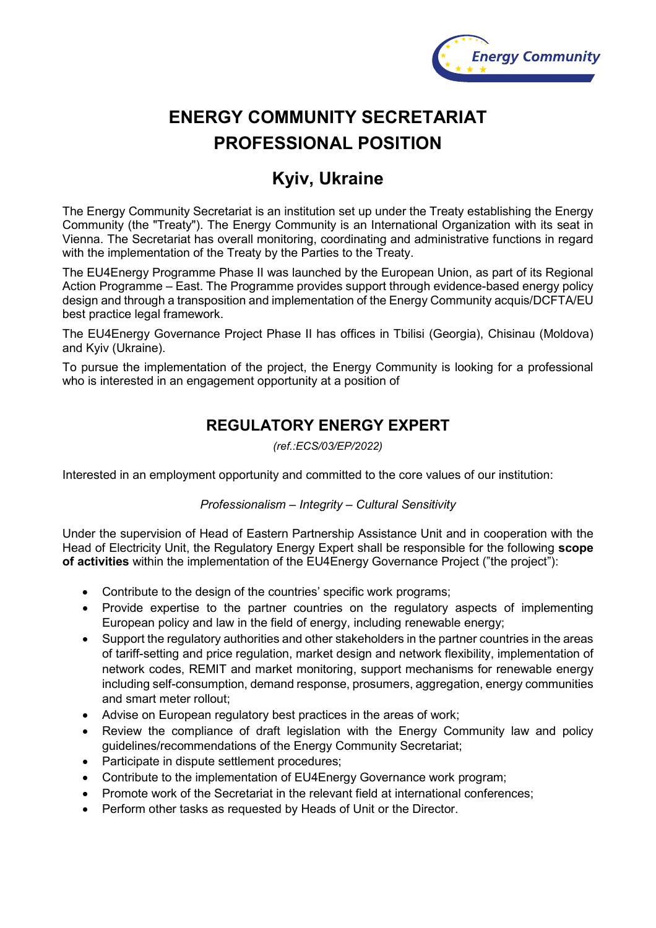

# **ENERGY COMMUNITY SECRETARIAT PROFESSIONAL POSITION**

## **Kyiv, Ukraine**

The Energy Community Secretariat is an institution set up under the Treaty establishing the Energy Community (the "Treaty"). The Energy Community is an International Organization with its seat in Vienna. The Secretariat has overall monitoring, coordinating and administrative functions in regard with the implementation of the Treaty by the Parties to the Treaty.

The EU4Energy Programme Phase II was launched by the European Union, as part of its Regional Action Programme – East. The Programme provides support through evidence-based energy policy design and through a transposition and implementation of the Energy Community acquis/DCFTA/EU best practice legal framework.

The EU4Energy Governance Project Phase II has offices in Tbilisi (Georgia), Chisinau (Moldova) and Kyiv (Ukraine).

To pursue the implementation of the project, the Energy Community is looking for a professional who is interested in an engagement opportunity at a position of

### **REGULATORY ENERGY EXPERT**

*(ref.:ECS/03/EP/2022)*

Interested in an employment opportunity and committed to the core values of our institution:

#### *Professionalism – Integrity – Cultural Sensitivity*

Under the supervision of Head of Eastern Partnership Assistance Unit and in cooperation with the Head of Electricity Unit, the Regulatory Energy Expert shall be responsible for the following **scope of activities** within the implementation of the EU4Energy Governance Project ("the project"):

- Contribute to the design of the countries' specific work programs;
- Provide expertise to the partner countries on the regulatory aspects of implementing European policy and law in the field of energy, including renewable energy;
- Support the regulatory authorities and other stakeholders in the partner countries in the areas of tariff-setting and price regulation, market design and network flexibility, implementation of network codes, REMIT and market monitoring, support mechanisms for renewable energy including self-consumption, demand response, prosumers, aggregation, energy communities and smart meter rollout;
- Advise on European regulatory best practices in the areas of work;
- Review the compliance of draft legislation with the Energy Community law and policy guidelines/recommendations of the Energy Community Secretariat;
- Participate in dispute settlement procedures;
- Contribute to the implementation of EU4Energy Governance work program;
- Promote work of the Secretariat in the relevant field at international conferences;
- Perform other tasks as requested by Heads of Unit or the Director.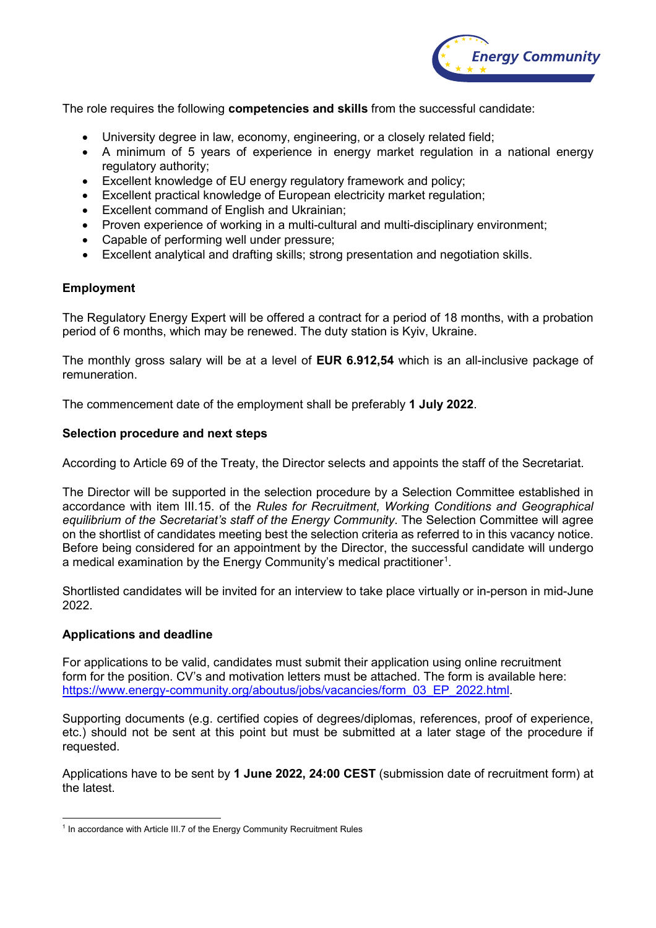

The role requires the following **competencies and skills** from the successful candidate:

- University degree in law, economy, engineering, or a closely related field;
- A minimum of 5 years of experience in energy market regulation in a national energy regulatory authority;
- Excellent knowledge of EU energy regulatory framework and policy;
- Excellent practical knowledge of European electricity market regulation;
- Excellent command of English and Ukrainian;
- Proven experience of working in a multi-cultural and multi-disciplinary environment;
- Capable of performing well under pressure;
- Excellent analytical and drafting skills; strong presentation and negotiation skills.

#### **Employment**

The Regulatory Energy Expert will be offered a contract for a period of 18 months, with a probation period of 6 months, which may be renewed. The duty station is Kyiv, Ukraine.

The monthly gross salary will be at a level of **EUR 6.912,54** which is an all-inclusive package of remuneration.

The commencement date of the employment shall be preferably **1 July 2022**.

#### **Selection procedure and next steps**

According to Article 69 of the Treaty, the Director selects and appoints the staff of the Secretariat.

The Director will be supported in the selection procedure by a Selection Committee established in accordance with item III.15. of the *Rules for Recruitment, Working Conditions and Geographical equilibrium of the Secretariat's staff of the Energy Community*. The Selection Committee will agree on the shortlist of candidates meeting best the selection criteria as referred to in this vacancy notice. Before being considered for an appointment by the Director, the successful candidate will undergo a medical examination by the Energy Community's medical practitioner $^{\rm 1}.$  $^{\rm 1}.$  $^{\rm 1}.$ 

Shortlisted candidates will be invited for an interview to take place virtually or in-person in mid-June 2022.

#### **Applications and deadline**

For applications to be valid, candidates must submit their application using online recruitment form for the position. CV's and motivation letters must be attached. The form is available here: [https://www.energy-community.org/aboutus/jobs/vacancies/form\\_03\\_EP\\_2022.html.](https://www.energy-community.org/aboutus/jobs/vacancies/form_03_EP_2022.html)

Supporting documents (e.g. certified copies of degrees/diplomas, references, proof of experience, etc.) should not be sent at this point but must be submitted at a later stage of the procedure if requested.

Applications have to be sent by **1 June 2022, 24:00 CEST** (submission date of recruitment form) at the latest.

<span id="page-1-0"></span><sup>&</sup>lt;sup>1</sup> In accordance with Article III.7 of the Energy Community Recruitment Rules